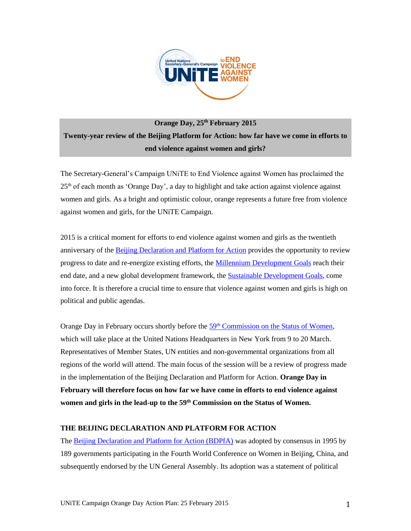

# **Orange Day, 25th February 2015 Twenty-year review of the Beijing Platform for Action: how far have we come in efforts to end violence against women and girls?**

The Secretary-General's Campaign UNiTE to End Violence against Women has proclaimed the  $25<sup>th</sup>$  of each month as 'Orange Day', a day to highlight and take action against violence against women and girls. As a bright and optimistic colour, orange represents a future free from violence against women and girls, for the UNiTE Campaign.

2015 is a critical moment for efforts to end violence against women and girls as the twentieth anniversary of the [Beijing Declaration and Platform for Action](http://www.un.org/womenwatch/daw/beijing/platform/) provides the opportunity to review progress to date and re-energize existing efforts, the [Millennium Development Goals](http://www.un.org/millenniumgoals/) reach their end date, and a new global development framework, the [Sustainable Development Goals,](https://sustainabledevelopment.un.org/topics/sustainabledevelopmentgoals) come into force. It is therefore a crucial time to ensure that violence against women and girls is high on political and public agendas.

Orange Day in February occurs shortly before the  $59<sup>th</sup>$  [Commission on the Status of Women,](http://www.unwomen.org/en/csw/csw59-2015) which will take place at the United Nations Headquarters in New York from 9 to 20 March. Representatives of Member States, UN entities and non-governmental organizations from all regions of the world will attend. The main focus of the session will be a review of progress made in the implementation of the Beijing Declaration and Platform for Action. **Orange Day in February will therefore focus on how far we have come in efforts to end violence against women and girls in the lead-up to the 59th Commission on the Status of Women.** 

## **THE BEIJING DECLARATION AND PLATFORM FOR ACTION**

The [Beijing Declaration and Platform for Action \(BDPfA\)](http://www.un.org/womenwatch/daw/beijing/platform/) was adopted by consensus in 1995 by 189 governments participating in the Fourth World Conference on Women in Beijing, China, and subsequently endorsed by the UN General Assembly. Its adoption was a statement of political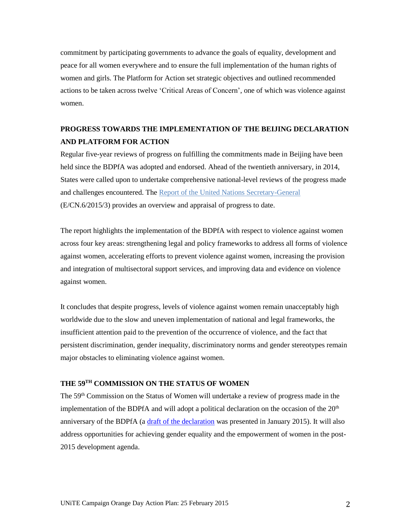commitment by participating governments to advance the goals of equality, development and peace for all women everywhere and to ensure the full implementation of the human rights of women and girls. The Platform for Action set strategic objectives and outlined recommended actions to be taken across twelve 'Critical Areas of Concern', one of which was violence against women.

## **PROGRESS TOWARDS THE IMPLEMENTATION OF THE BEIJING DECLARATION AND PLATFORM FOR ACTION**

Regular five-year reviews of progress on fulfilling the commitments made in Beijing have been held since the BDPfA was adopted and endorsed. Ahead of the twentieth anniversary, in 2014, States were called upon to undertake comprehensive national-level reviews of the progress made and challenges encountered. The [Report of the United Nations Secretary-General](http://www.unwomen.org/~/media/headquarters/attachments/sections/csw/59/ecn620153.pdf) (E/CN.6/2015/3) provides an overview and appraisal of progress to date.

The report highlights the implementation of the BDPfA with respect to violence against women across four key areas: strengthening legal and policy frameworks to address all forms of violence against women, accelerating efforts to prevent violence against women, increasing the provision and integration of multisectoral support services, and improving data and evidence on violence against women.

It concludes that despite progress, levels of violence against women remain unacceptably high worldwide due to the slow and uneven implementation of national and legal frameworks, the insufficient attention paid to the prevention of the occurrence of violence, and the fact that persistent discrimination, gender inequality, discriminatory norms and gender stereotypes remain major obstacles to eliminating violence against women.

## **THE 59TH COMMISSION ON THE STATUS OF WOMEN**

The 59<sup>th</sup> Commission on the Status of Women will undertake a review of progress made in the implementation of the BDPfA and will adopt a political declaration on the occasion of the  $20<sup>th</sup>$ anniversary of the BDPfA (a [draft of the declaration](http://www.unwomen.org/~/media/headquarters/attachments/sections/csw/59/declaration_draft_20_jan%202015.pdf) was presented in January 2015). It will also address opportunities for achieving gender equality and the empowerment of women in the post-2015 development agenda.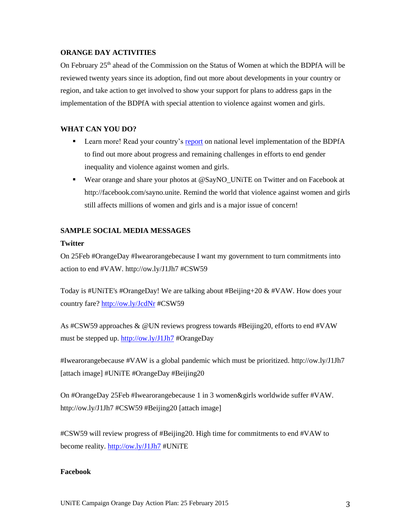#### **ORANGE DAY ACTIVITIES**

On February 25th ahead of the Commission on the Status of Women at which the BDPfA will be reviewed twenty years since its adoption, find out more about developments in your country or region, and take action to get involved to show your support for plans to address gaps in the implementation of the BDPfA with special attention to violence against women and girls.

## **WHAT CAN YOU DO?**

- Learn more! Read your country's [report](http://www.unwomen.org/en/csw/csw59-2015/preparations#National) on national level implementation of the BDPfA to find out more about progress and remaining challenges in efforts to end gender inequality and violence against women and girls.
- Wear orange and share your photos at @SayNO\_UNiTE on Twitter and on Facebook at http://facebook.com/sayno.unite. Remind the world that violence against women and girls still affects millions of women and girls and is a major issue of concern!

## **SAMPLE SOCIAL MEDIA MESSAGES**

## **Twitter**

On 25Feb #OrangeDay #Iwearorangebecause I want my government to turn commitments into action to end #VAW. http://ow.ly/J1Jh7 #CSW59

Today is #UNiTE's #OrangeDay! We are talking about #Beijing+20 & #VAW. How does your country fare?<http://ow.ly/JcdNr> #CSW59

As #CSW59 approaches & @UN reviews progress towards #Beijing20, efforts to end #VAW must be stepped up.<http://ow.ly/J1Jh7> #OrangeDay

#Iwearorangebecause #VAW is a global pandemic which must be prioritized. http://ow.ly/J1Jh7 [attach image] #UNiTE #OrangeDay #Beijing20

On #OrangeDay 25Feb #Iwearorangebecause 1 in 3 women&girls worldwide suffer #VAW. http://ow.ly/J1Jh7 #CSW59 #Beijing20 [attach image]

#CSW59 will review progress of #Beijing20. High time for commitments to end #VAW to become reality.<http://ow.ly/J1Jh7> #UNiTE

## **Facebook**